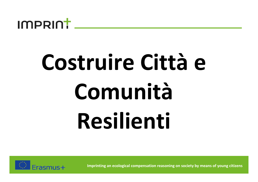

### **Costruire Città <sup>e</sup> ComunitàResilienti**

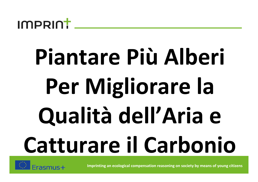

# **Piantare Più Alberi Per Migliorare la Qualità dell'Aria <sup>e</sup> Catturare il Carbonio**

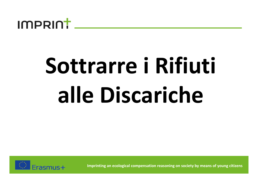

# **Sottrarre i Rifiuti alle Discariche**

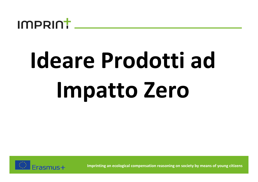

# **Ideare Prodotti ad Impatto Zero**

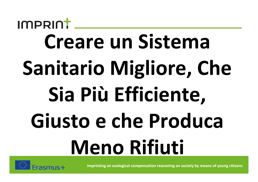#### IMPRINT **Creare un Sistema Sanitario Migliore, Che Sia Più Efficiente, Giusto e che Produca Meno Rifiuti**

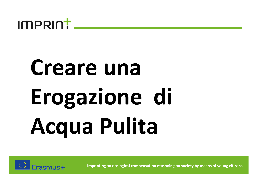

#### **Creare una Erogazione di Acqua Pulita**

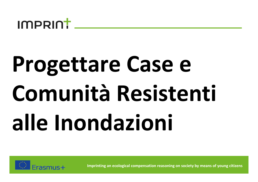

# **Progettare Case e Comunità Resistenti alle Inondazioni**

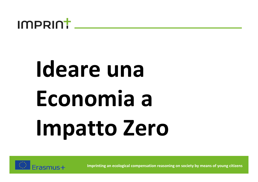

#### **Ideare una Economia <sup>a</sup> Impatto Zero**

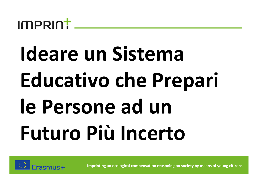

#### **Ideare un Sistema Educativo che Prepari le Persone ad un Futuro Più Incerto**

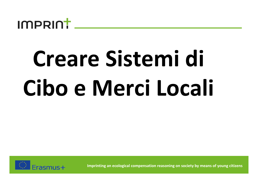

# **Creare Sistemi di Cibo e Merci Locali**

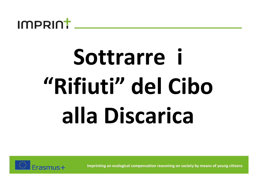

# **Sottrarre <sup>i</sup> "Rifiuti" del Ciboalla Discarica**

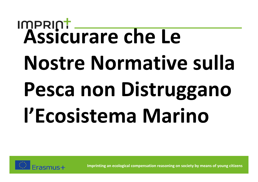# **Assicurare che Le Nostre Normative sulla Pesca non Distrugganol'Ecosistema Marino**

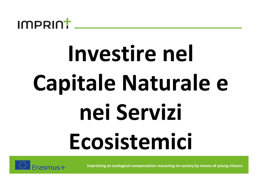

## **Investire nel Capitale Naturale <sup>e</sup> nei Servizi Ecosistemici**

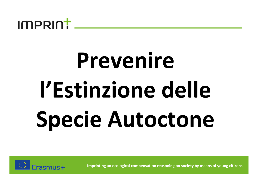

## **Prevenire l'Estinzione delle Specie Autoctone**

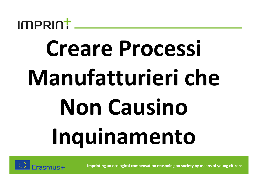

## **Creare Processi Manufatturieri cheNon CausinoInquinamento**

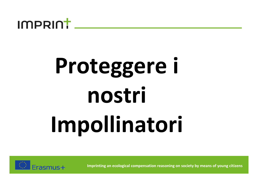

### **Proteggere <sup>i</sup> nostriImpollinatori**

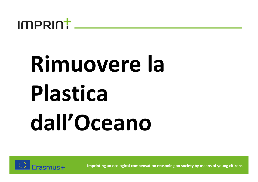

## **Rimuovere la Plasticadall'Oceano**

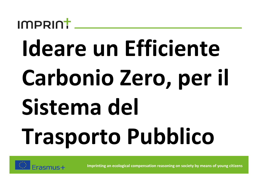#### $ImPRI$

# **Ideare un Efficiente Carbonio Zero, per il Sistema del Trasporto Pubblico**

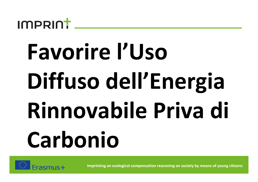

## **Favorire l'Uso Diffuso dell'Energia Rinnovabile Priva di Carbonio**

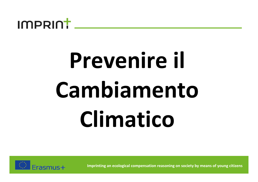

## **Prevenire il CambiamentoClimatico**